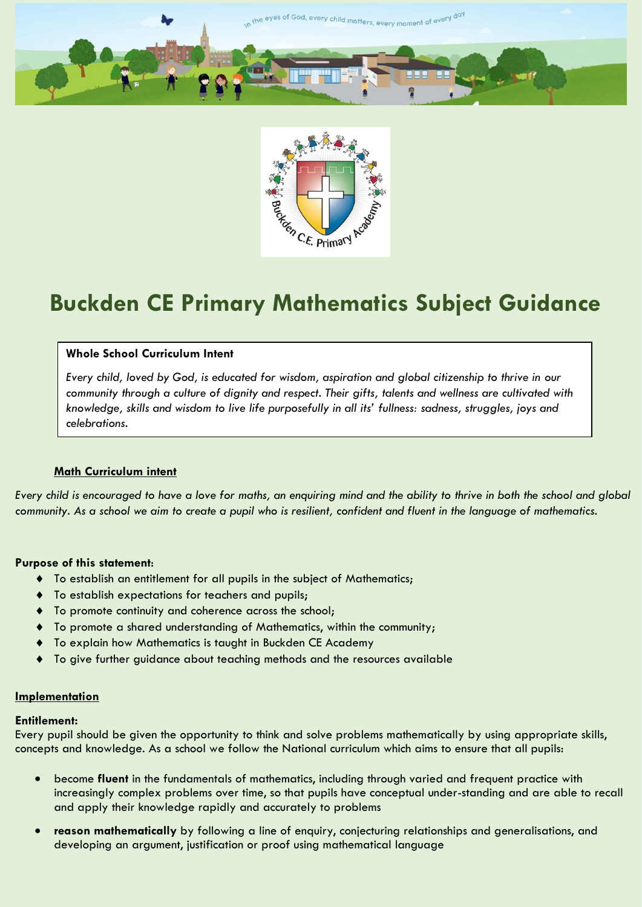



# **Buckden CE Primary Mathematics Subject Guidance**

## **Whole School Curriculum Intent**

*Every child, loved by God, is educated for wisdom, aspiration and global citizenship to thrive in our community through a culture of dignity and respect. Their gifts, talents and wellness are cultivated with knowledge, skills and wisdom to live life purposefully in all its' fullness: sadness, struggles, joys and celebrations.*

## **Math Curriculum intent**

*Every child is encouraged to have a love for maths, an enquiring mind and the ability to thrive in both the school and global community. As a school we aim to create a pupil who is resilient, confident and fluent in the language of mathematics.* 

## **Purpose of this statement**:

- To establish an entitlement for all pupils in the subject of Mathematics;
- To establish expectations for teachers and pupils;
- To promote continuity and coherence across the school;
- To promote a shared understanding of Mathematics, within the community;
- To explain how Mathematics is taught in Buckden CE Academy
- To give further guidance about teaching methods and the resources available

#### **Implementation**

#### **Entitlement:**

Every pupil should be given the opportunity to think and solve problems mathematically by using appropriate skills, concepts and knowledge. As a school we follow the National curriculum which aims to ensure that all pupils:

- become **fluent** in the fundamentals of mathematics, including through varied and frequent practice with increasingly complex problems over time, so that pupils have conceptual under-standing and are able to recall and apply their knowledge rapidly and accurately to problems
- **reason mathematically** by following a line of enquiry, conjecturing relationships and generalisations, and developing an argument, justification or proof using mathematical language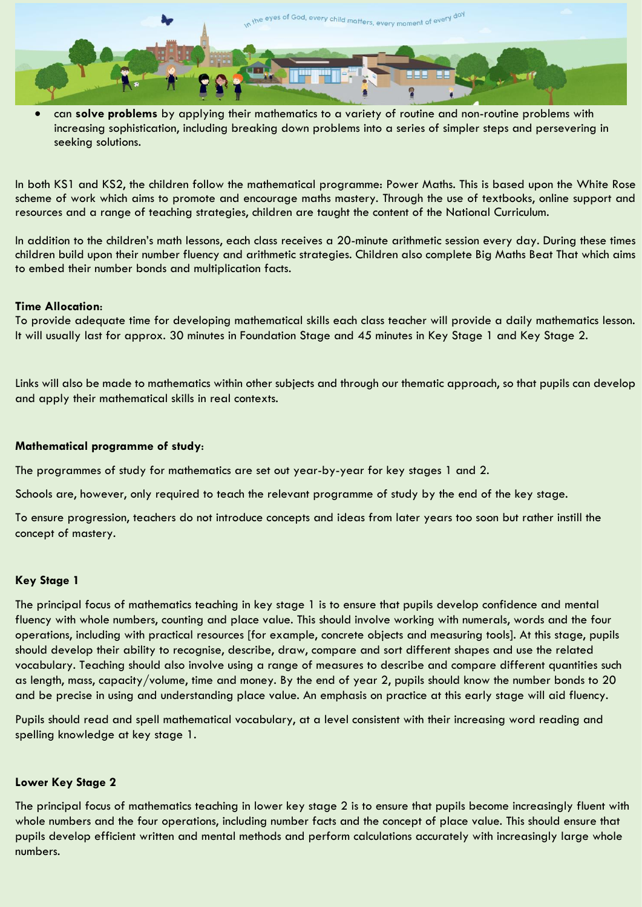

 can **solve problems** by applying their mathematics to a variety of routine and non-routine problems with increasing sophistication, including breaking down problems into a series of simpler steps and persevering in seeking solutions.

In both KS1 and KS2, the children follow the mathematical programme: Power Maths. This is based upon the White Rose scheme of work which aims to promote and encourage maths mastery. Through the use of textbooks, online support and resources and a range of teaching strategies, children are taught the content of the National Curriculum.

In addition to the children's math lessons, each class receives a 20-minute arithmetic session every day. During these times children build upon their number fluency and arithmetic strategies. Children also complete Big Maths Beat That which aims to embed their number bonds and multiplication facts.

## **Time Allocation**:

To provide adequate time for developing mathematical skills each class teacher will provide a daily mathematics lesson. It will usually last for approx. 30 minutes in Foundation Stage and 45 minutes in Key Stage 1 and Key Stage 2.

Links will also be made to mathematics within other subjects and through our thematic approach, so that pupils can develop and apply their mathematical skills in real contexts.

## **Mathematical programme of study**:

The programmes of study for mathematics are set out year-by-year for key stages 1 and 2.

Schools are, however, only required to teach the relevant programme of study by the end of the key stage.

To ensure progression, teachers do not introduce concepts and ideas from later years too soon but rather instill the concept of mastery.

## **Key Stage 1**

The principal focus of mathematics teaching in key stage 1 is to ensure that pupils develop confidence and mental fluency with whole numbers, counting and place value. This should involve working with numerals, words and the four operations, including with practical resources [for example, concrete objects and measuring tools]. At this stage, pupils should develop their ability to recognise, describe, draw, compare and sort different shapes and use the related vocabulary. Teaching should also involve using a range of measures to describe and compare different quantities such as length, mass, capacity/volume, time and money. By the end of year 2, pupils should know the number bonds to 20 and be precise in using and understanding place value. An emphasis on practice at this early stage will aid fluency.

Pupils should read and spell mathematical vocabulary, at a level consistent with their increasing word reading and spelling knowledge at key stage 1.

## **Lower Key Stage 2**

The principal focus of mathematics teaching in lower key stage 2 is to ensure that pupils become increasingly fluent with whole numbers and the four operations, including number facts and the concept of place value. This should ensure that pupils develop efficient written and mental methods and perform calculations accurately with increasingly large whole numbers.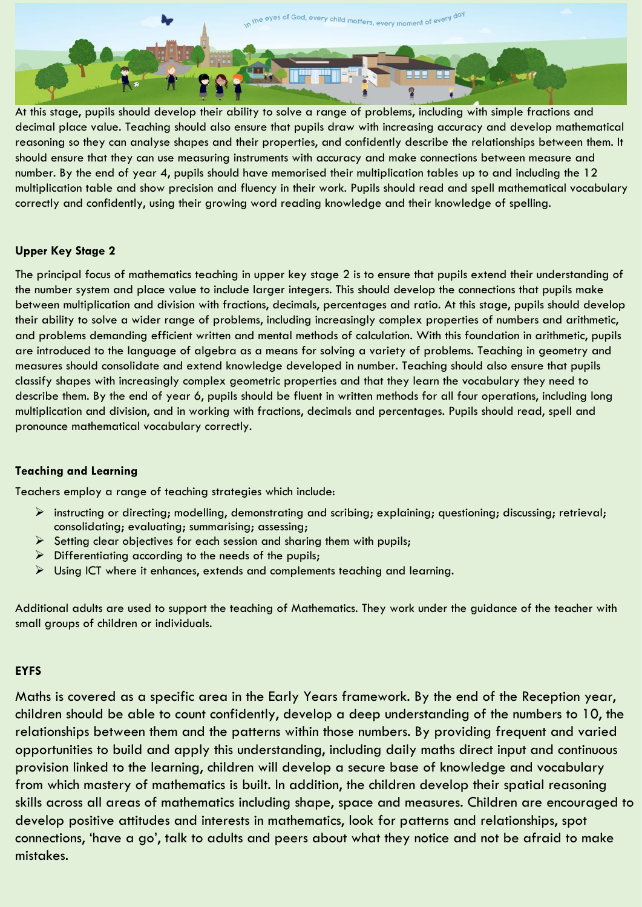

At this stage, pupils should develop their ability to solve a range of problems, including with simple fractions and decimal place value. Teaching should also ensure that pupils draw with increasing accuracy and develop mathematical reasoning so they can analyse shapes and their properties, and confidently describe the relationships between them. It should ensure that they can use measuring instruments with accuracy and make connections between measure and number. By the end of year 4, pupils should have memorised their multiplication tables up to and including the 12 multiplication table and show precision and fluency in their work. Pupils should read and spell mathematical vocabulary correctly and confidently, using their growing word reading knowledge and their knowledge of spelling.

## **Upper Key Stage 2**

The principal focus of mathematics teaching in upper key stage 2 is to ensure that pupils extend their understanding of the number system and place value to include larger integers. This should develop the connections that pupils make between multiplication and division with fractions, decimals, percentages and ratio. At this stage, pupils should develop their ability to solve a wider range of problems, including increasingly complex properties of numbers and arithmetic, and problems demanding efficient written and mental methods of calculation. With this foundation in arithmetic, pupils are introduced to the language of algebra as a means for solving a variety of problems. Teaching in geometry and measures should consolidate and extend knowledge developed in number. Teaching should also ensure that pupils classify shapes with increasingly complex geometric properties and that they learn the vocabulary they need to describe them. By the end of year 6, pupils should be fluent in written methods for all four operations, including long multiplication and division, and in working with fractions, decimals and percentages. Pupils should read, spell and pronounce mathematical vocabulary correctly.

## **Teaching and Learning**

Teachers employ a range of teaching strategies which include:

- instructing or directing; modelling, demonstrating and scribing; explaining; questioning; discussing; retrieval; consolidating; evaluating; summarising; assessing;
- $\triangleright$  Setting clear objectives for each session and sharing them with pupils;
- $\triangleright$  Differentiating according to the needs of the pupils;
- $\triangleright$  Using ICT where it enhances, extends and complements teaching and learning.

Additional adults are used to support the teaching of Mathematics. They work under the guidance of the teacher with small groups of children or individuals.

## **EYFS**

Maths is covered as a specific area in the Early Years framework. By the end of the Reception year, children should be able to count confidently, develop a deep understanding of the numbers to 10, the relationships between them and the patterns within those numbers. By providing frequent and varied opportunities to build and apply this understanding, including daily maths direct input and continuous provision linked to the learning, children will develop a secure base of knowledge and vocabulary from which mastery of mathematics is built. In addition, the children develop their spatial reasoning skills across all areas of mathematics including shape, space and measures. Children are encouraged to develop positive attitudes and interests in mathematics, look for patterns and relationships, spot connections, 'have a go', talk to adults and peers about what they notice and not be afraid to make mistakes.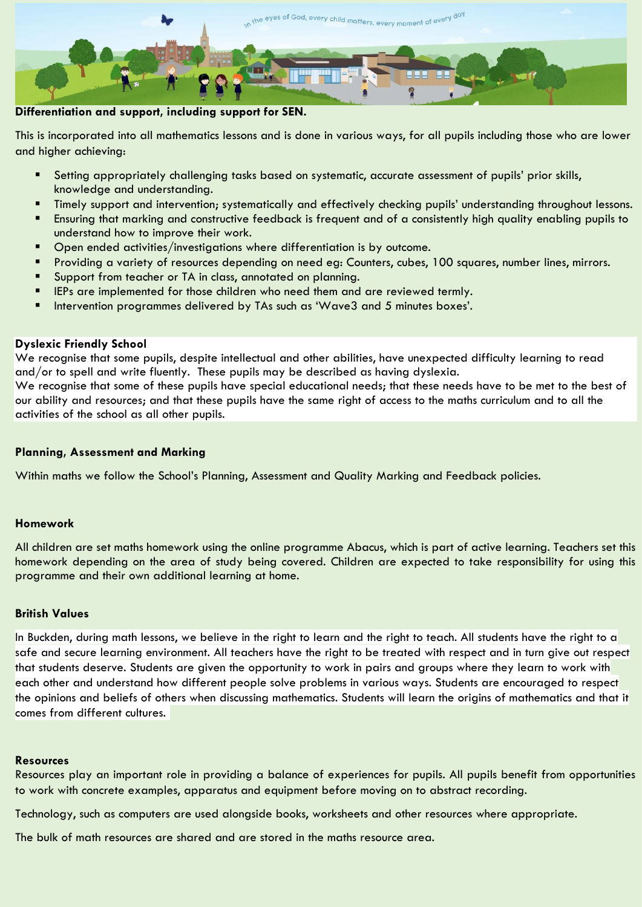

**Differentiation and support, including support for SEN.**

This is incorporated into all mathematics lessons and is done in various ways, for all pupils including those who are lower and higher achieving:

- Setting appropriately challenging tasks based on systematic, accurate assessment of pupils' prior skills, knowledge and understanding.
- Timely support and intervention; systematically and effectively checking pupils' understanding throughout lessons.
- Ensuring that marking and constructive feedback is frequent and of a consistently high quality enabling pupils to understand how to improve their work.
- Open ended activities/investigations where differentiation is by outcome.
- Providing a variety of resources depending on need eg: Counters, cubes, 100 squares, number lines, mirrors.
- Support from teacher or TA in class, annotated on planning.
- IEPs are implemented for those children who need them and are reviewed termly.
- Intervention programmes delivered by TAs such as 'Wave3 and 5 minutes boxes'.

# **Dyslexic Friendly School**

We recognise that some pupils, despite intellectual and other abilities, have unexpected difficulty learning to read and/or to spell and write fluently. These pupils may be described as having dyslexia.

We recognise that some of these pupils have special educational needs; that these needs have to be met to the best of our ability and resources; and that these pupils have the same right of access to the maths curriculum and to all the activities of the school as all other pupils.

## **Planning, Assessment and Marking**

Within maths we follow the School's Planning, Assessment and Quality Marking and Feedback policies.

## **Homework**

All children are set maths homework using the online programme Abacus, which is part of active learning. Teachers set this homework depending on the area of study being covered. Children are expected to take responsibility for using this programme and their own additional learning at home.

## **British Values**

In Buckden, during math lessons, we believe in the right to learn and the right to teach. All students have the right to a safe and secure learning environment. All teachers have the right to be treated with respect and in turn give out respect that students deserve. Students are given the opportunity to work in pairs and groups where they learn to work with each other and understand how different people solve problems in various ways. Students are encouraged to respect the opinions and beliefs of others when discussing mathematics. Students will learn the origins of mathematics and that it comes from different cultures.

## **Resources**

Resources play an important role in providing a balance of experiences for pupils. All pupils benefit from opportunities to work with concrete examples, apparatus and equipment before moving on to abstract recording.

Technology, such as computers are used alongside books, worksheets and other resources where appropriate.

The bulk of math resources are shared and are stored in the maths resource area.